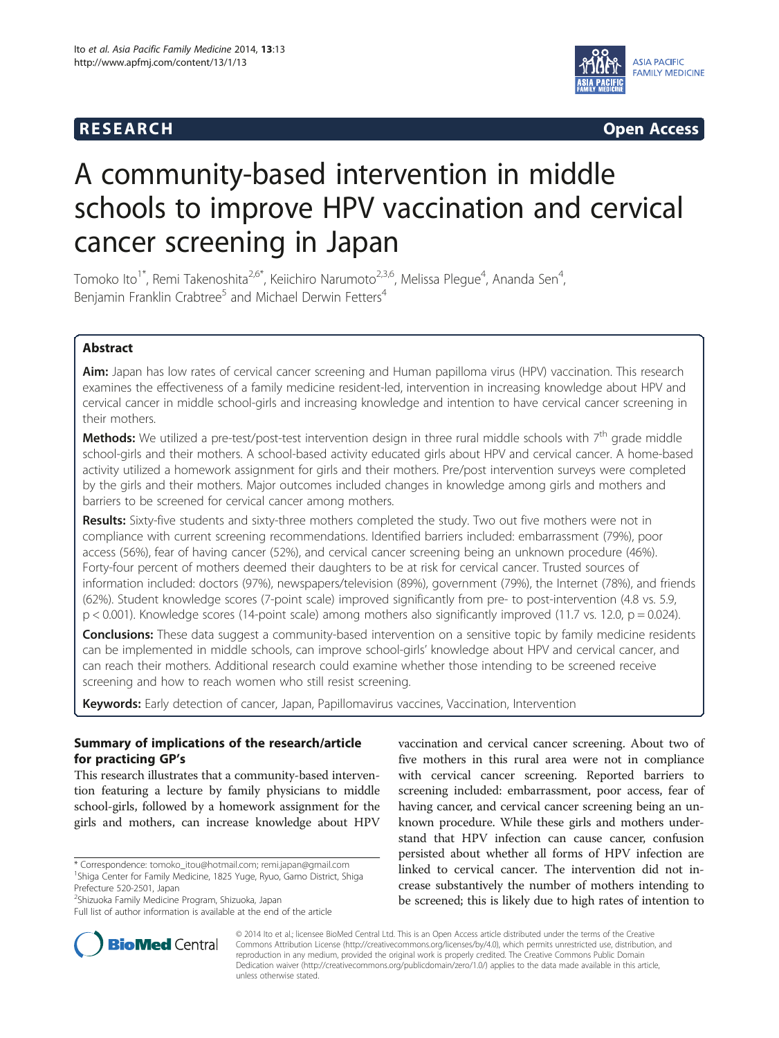# **RESEARCH CHINESEARCH CHINESEARCH CHINESE**



# A community-based intervention in middle schools to improve HPV vaccination and cervical cancer screening in Japan

Tomoko Ito $^{1^*}$ , Remi Takenoshita $^{2,6^*}$ , Keiichiro Narumoto $^{2,3,6}$ , Melissa Plegue $^4$ , Ananda Sen $^4$ , Benjamin Franklin Crabtree<sup>5</sup> and Michael Derwin Fetters<sup>4</sup>

# Abstract

Aim: Japan has low rates of cervical cancer screening and Human papilloma virus (HPV) vaccination. This research examines the effectiveness of a family medicine resident-led, intervention in increasing knowledge about HPV and cervical cancer in middle school-girls and increasing knowledge and intention to have cervical cancer screening in their mothers.

**Methods:** We utilized a pre-test/post-test intervention design in three rural middle schools with  $7<sup>th</sup>$  grade middle school-girls and their mothers. A school-based activity educated girls about HPV and cervical cancer. A home-based activity utilized a homework assignment for girls and their mothers. Pre/post intervention surveys were completed by the girls and their mothers. Major outcomes included changes in knowledge among girls and mothers and barriers to be screened for cervical cancer among mothers.

Results: Sixty-five students and sixty-three mothers completed the study. Two out five mothers were not in compliance with current screening recommendations. Identified barriers included: embarrassment (79%), poor access (56%), fear of having cancer (52%), and cervical cancer screening being an unknown procedure (46%). Forty-four percent of mothers deemed their daughters to be at risk for cervical cancer. Trusted sources of information included: doctors (97%), newspapers/television (89%), government (79%), the Internet (78%), and friends (62%). Student knowledge scores (7-point scale) improved significantly from pre- to post-intervention (4.8 vs. 5.9, p < 0.001). Knowledge scores (14-point scale) among mothers also significantly improved (11.7 vs. 12.0, p = 0.024).

Conclusions: These data suggest a community-based intervention on a sensitive topic by family medicine residents can be implemented in middle schools, can improve school-girls' knowledge about HPV and cervical cancer, and can reach their mothers. Additional research could examine whether those intending to be screened receive screening and how to reach women who still resist screening.

Keywords: Early detection of cancer, Japan, Papillomavirus vaccines, Vaccination, Intervention

# Summary of implications of the research/article for practicing GP's

This research illustrates that a community-based intervention featuring a lecture by family physicians to middle school-girls, followed by a homework assignment for the girls and mothers, can increase knowledge about HPV

\* Correspondence: [tomoko\\_itou@hotmail.com](mailto:tomoko_itou@hotmail.com); [remi.japan@gmail.com](mailto:remi.japan@gmail.com) <sup>1</sup> <sup>1</sup>Shiga Center for Family Medicine, 1825 Yuge, Ryuo, Gamo District, Shiga Prefecture 520-2501, Japan

<sup>2</sup>Shizuoka Family Medicine Program, Shizuoka, Japan

vaccination and cervical cancer screening. About two of five mothers in this rural area were not in compliance with cervical cancer screening. Reported barriers to screening included: embarrassment, poor access, fear of having cancer, and cervical cancer screening being an unknown procedure. While these girls and mothers understand that HPV infection can cause cancer, confusion persisted about whether all forms of HPV infection are linked to cervical cancer. The intervention did not increase substantively the number of mothers intending to be screened; this is likely due to high rates of intention to



© 2014 Ito et al.; licensee BioMed Central Ltd. This is an Open Access article distributed under the terms of the Creative Commons Attribution License [\(http://creativecommons.org/licenses/by/4.0\)](http://creativecommons.org/licenses/by/4.0), which permits unrestricted use, distribution, and reproduction in any medium, provided the original work is properly credited. The Creative Commons Public Domain Dedication waiver [\(http://creativecommons.org/publicdomain/zero/1.0/](http://creativecommons.org/publicdomain/zero/1.0/)) applies to the data made available in this article, unless otherwise stated.

Full list of author information is available at the end of the article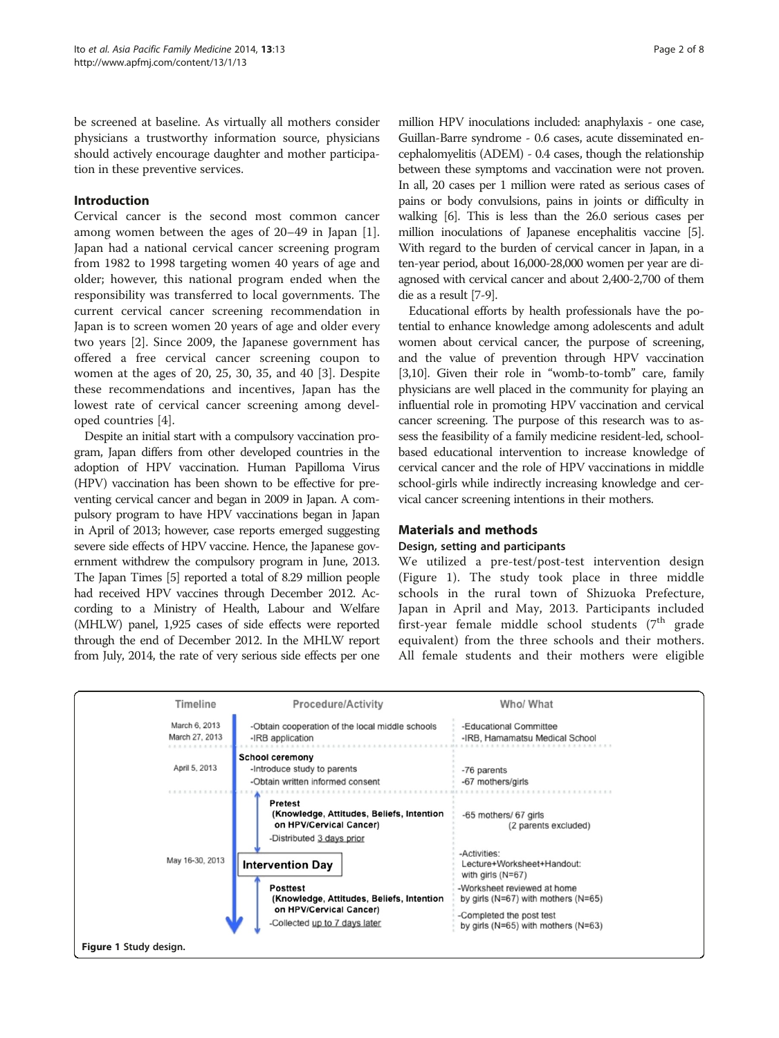be screened at baseline. As virtually all mothers consider physicians a trustworthy information source, physicians should actively encourage daughter and mother participation in these preventive services.

## Introduction

Cervical cancer is the second most common cancer among women between the ages of 20–49 in Japan [\[1](#page-6-0)]. Japan had a national cervical cancer screening program from 1982 to 1998 targeting women 40 years of age and older; however, this national program ended when the responsibility was transferred to local governments. The current cervical cancer screening recommendation in Japan is to screen women 20 years of age and older every two years [\[2](#page-6-0)]. Since 2009, the Japanese government has offered a free cervical cancer screening coupon to women at the ages of 20, 25, 30, 35, and 40 [\[3](#page-6-0)]. Despite these recommendations and incentives, Japan has the lowest rate of cervical cancer screening among developed countries [[4](#page-6-0)].

Despite an initial start with a compulsory vaccination program, Japan differs from other developed countries in the adoption of HPV vaccination. Human Papilloma Virus (HPV) vaccination has been shown to be effective for preventing cervical cancer and began in 2009 in Japan. A compulsory program to have HPV vaccinations began in Japan in April of 2013; however, case reports emerged suggesting severe side effects of HPV vaccine. Hence, the Japanese government withdrew the compulsory program in June, 2013. The Japan Times [\[5\]](#page-6-0) reported a total of 8.29 million people had received HPV vaccines through December 2012. According to a Ministry of Health, Labour and Welfare (MHLW) panel, 1,925 cases of side effects were reported through the end of December 2012. In the MHLW report from July, 2014, the rate of very serious side effects per one

million HPV inoculations included: anaphylaxis - one case, Guillan-Barre syndrome - 0.6 cases, acute disseminated encephalomyelitis (ADEM) - 0.4 cases, though the relationship between these symptoms and vaccination were not proven. In all, 20 cases per 1 million were rated as serious cases of pains or body convulsions, pains in joints or difficulty in walking [\[6](#page-6-0)]. This is less than the 26.0 serious cases per million inoculations of Japanese encephalitis vaccine [\[5\]](#page-6-0). With regard to the burden of cervical cancer in Japan, in a ten-year period, about 16,000-28,000 women per year are diagnosed with cervical cancer and about 2,400-2,700 of them die as a result [\[7-9\]](#page-6-0).

Educational efforts by health professionals have the potential to enhance knowledge among adolescents and adult women about cervical cancer, the purpose of screening, and the value of prevention through HPV vaccination [[3,10\]](#page-6-0). Given their role in "womb-to-tomb" care, family physicians are well placed in the community for playing an influential role in promoting HPV vaccination and cervical cancer screening. The purpose of this research was to assess the feasibility of a family medicine resident-led, schoolbased educational intervention to increase knowledge of cervical cancer and the role of HPV vaccinations in middle school-girls while indirectly increasing knowledge and cervical cancer screening intentions in their mothers.

## Materials and methods

#### Design, setting and participants

We utilized a pre-test/post-test intervention design (Figure 1). The study took place in three middle schools in the rural town of Shizuoka Prefecture, Japan in April and May, 2013. Participants included first-year female middle school students  $(7<sup>th</sup>$  grade equivalent) from the three schools and their mothers. All female students and their mothers were eligible

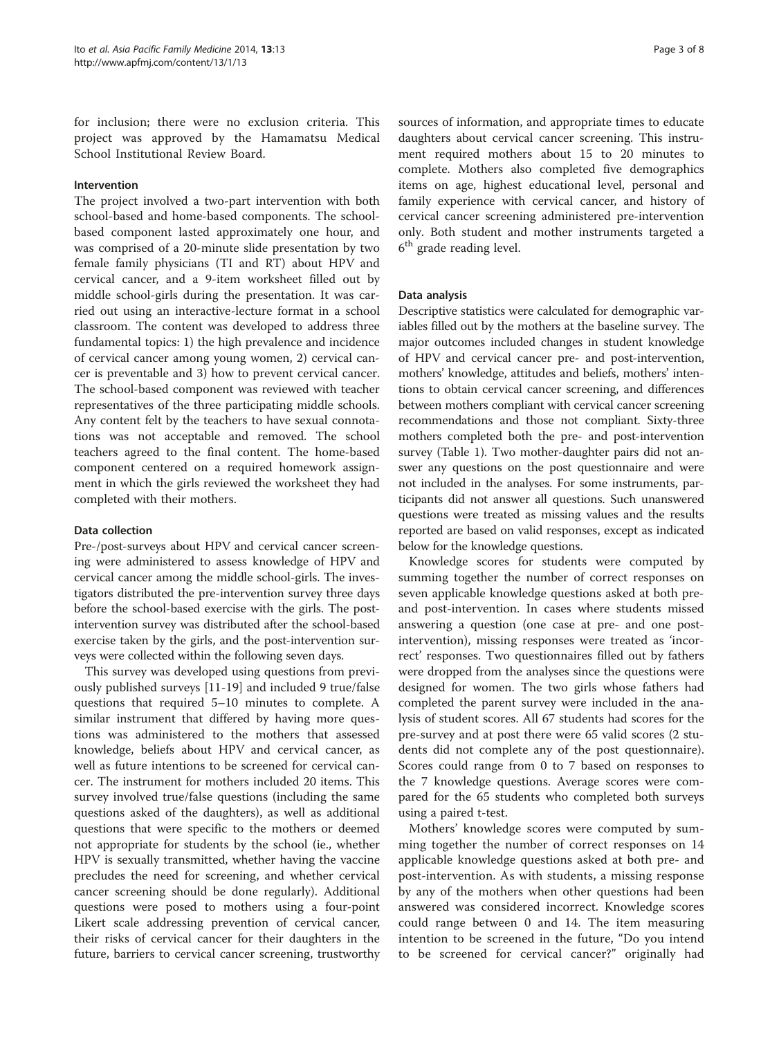for inclusion; there were no exclusion criteria. This project was approved by the Hamamatsu Medical School Institutional Review Board.

#### Intervention

The project involved a two-part intervention with both school-based and home-based components. The schoolbased component lasted approximately one hour, and was comprised of a 20-minute slide presentation by two female family physicians (TI and RT) about HPV and cervical cancer, and a 9-item worksheet filled out by middle school-girls during the presentation. It was carried out using an interactive-lecture format in a school classroom. The content was developed to address three fundamental topics: 1) the high prevalence and incidence of cervical cancer among young women, 2) cervical cancer is preventable and 3) how to prevent cervical cancer. The school-based component was reviewed with teacher representatives of the three participating middle schools. Any content felt by the teachers to have sexual connotations was not acceptable and removed. The school teachers agreed to the final content. The home-based component centered on a required homework assignment in which the girls reviewed the worksheet they had completed with their mothers.

#### Data collection

Pre-/post-surveys about HPV and cervical cancer screening were administered to assess knowledge of HPV and cervical cancer among the middle school-girls. The investigators distributed the pre-intervention survey three days before the school-based exercise with the girls. The postintervention survey was distributed after the school-based exercise taken by the girls, and the post-intervention surveys were collected within the following seven days.

This survey was developed using questions from previously published surveys [\[11](#page-6-0)-[19\]](#page-7-0) and included 9 true/false questions that required 5–10 minutes to complete. A similar instrument that differed by having more questions was administered to the mothers that assessed knowledge, beliefs about HPV and cervical cancer, as well as future intentions to be screened for cervical cancer. The instrument for mothers included 20 items. This survey involved true/false questions (including the same questions asked of the daughters), as well as additional questions that were specific to the mothers or deemed not appropriate for students by the school (ie., whether HPV is sexually transmitted, whether having the vaccine precludes the need for screening, and whether cervical cancer screening should be done regularly). Additional questions were posed to mothers using a four-point Likert scale addressing prevention of cervical cancer, their risks of cervical cancer for their daughters in the future, barriers to cervical cancer screening, trustworthy

sources of information, and appropriate times to educate daughters about cervical cancer screening. This instrument required mothers about 15 to 20 minutes to complete. Mothers also completed five demographics items on age, highest educational level, personal and family experience with cervical cancer, and history of cervical cancer screening administered pre-intervention only. Both student and mother instruments targeted a 6<sup>th</sup> grade reading level.

#### Data analysis

Descriptive statistics were calculated for demographic variables filled out by the mothers at the baseline survey. The major outcomes included changes in student knowledge of HPV and cervical cancer pre- and post-intervention, mothers' knowledge, attitudes and beliefs, mothers' intentions to obtain cervical cancer screening, and differences between mothers compliant with cervical cancer screening recommendations and those not compliant. Sixty-three mothers completed both the pre- and post-intervention survey (Table [1](#page-3-0)). Two mother-daughter pairs did not answer any questions on the post questionnaire and were not included in the analyses. For some instruments, participants did not answer all questions. Such unanswered questions were treated as missing values and the results reported are based on valid responses, except as indicated below for the knowledge questions.

Knowledge scores for students were computed by summing together the number of correct responses on seven applicable knowledge questions asked at both preand post-intervention. In cases where students missed answering a question (one case at pre- and one postintervention), missing responses were treated as 'incorrect' responses. Two questionnaires filled out by fathers were dropped from the analyses since the questions were designed for women. The two girls whose fathers had completed the parent survey were included in the analysis of student scores. All 67 students had scores for the pre-survey and at post there were 65 valid scores (2 students did not complete any of the post questionnaire). Scores could range from 0 to 7 based on responses to the 7 knowledge questions. Average scores were compared for the 65 students who completed both surveys using a paired t-test.

Mothers' knowledge scores were computed by summing together the number of correct responses on 14 applicable knowledge questions asked at both pre- and post-intervention. As with students, a missing response by any of the mothers when other questions had been answered was considered incorrect. Knowledge scores could range between 0 and 14. The item measuring intention to be screened in the future, "Do you intend to be screened for cervical cancer?" originally had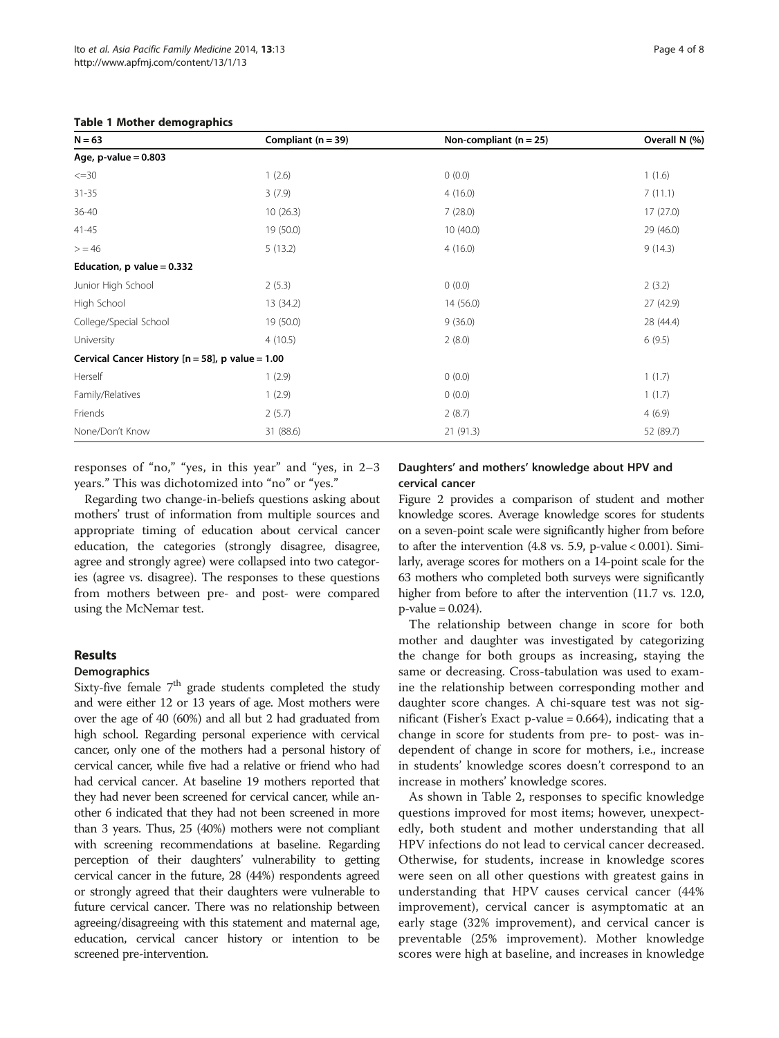#### <span id="page-3-0"></span>Table 1 Mother demographics

| $N = 63$                                            | Compliant $(n = 39)$ | Non-compliant $(n = 25)$ | Overall N (%) |
|-----------------------------------------------------|----------------------|--------------------------|---------------|
| Age, $p$ -value = 0.803                             |                      |                          |               |
| $\leq$ = 30                                         | 1(2.6)               | 0(0.0)                   | 1(1.6)        |
| $31 - 35$                                           | 3(7.9)               | 4(16.0)                  | 7(11.1)       |
| 36-40                                               | 10(26.3)             | 7(28.0)                  | 17(27.0)      |
| $41 - 45$                                           | 19 (50.0)            | 10(40.0)                 | 29 (46.0)     |
| > 46                                                | 5(13.2)              | 4(16.0)                  | 9(14.3)       |
| Education, $p$ value = 0.332                        |                      |                          |               |
| Junior High School                                  | 2(5.3)               | 0(0.0)                   | 2(3.2)        |
| High School                                         | 13 (34.2)            | 14(56.0)                 | 27 (42.9)     |
| College/Special School                              | 19 (50.0)            | 9(36.0)                  | 28 (44.4)     |
| University                                          | 4(10.5)              | 2(8.0)                   | 6(9.5)        |
| Cervical Cancer History $[n = 58]$ , p value = 1.00 |                      |                          |               |
| Herself                                             | 1(2.9)               | 0(0.0)                   | 1(1.7)        |
| Family/Relatives                                    | 1(2.9)               | 0(0.0)                   | 1(1.7)        |
| Friends                                             | 2(5.7)               | 2(8.7)                   | 4(6.9)        |
| None/Don't Know                                     | 31 (88.6)            | 21(91.3)                 | 52 (89.7)     |

responses of "no," "yes, in this year" and "yes, in 2–3 years." This was dichotomized into "no" or "yes."

Regarding two change-in-beliefs questions asking about mothers' trust of information from multiple sources and appropriate timing of education about cervical cancer education, the categories (strongly disagree, disagree, agree and strongly agree) were collapsed into two categories (agree vs. disagree). The responses to these questions from mothers between pre- and post- were compared using the McNemar test.

# Results

#### **Demographics**

Sixty-five female  $7<sup>th</sup>$  grade students completed the study and were either 12 or 13 years of age. Most mothers were over the age of 40 (60%) and all but 2 had graduated from high school. Regarding personal experience with cervical cancer, only one of the mothers had a personal history of cervical cancer, while five had a relative or friend who had had cervical cancer. At baseline 19 mothers reported that they had never been screened for cervical cancer, while another 6 indicated that they had not been screened in more than 3 years. Thus, 25 (40%) mothers were not compliant with screening recommendations at baseline. Regarding perception of their daughters' vulnerability to getting cervical cancer in the future, 28 (44%) respondents agreed or strongly agreed that their daughters were vulnerable to future cervical cancer. There was no relationship between agreeing/disagreeing with this statement and maternal age, education, cervical cancer history or intention to be screened pre-intervention.

#### Daughters' and mothers' knowledge about HPV and cervical cancer

Figure [2](#page-4-0) provides a comparison of student and mother knowledge scores. Average knowledge scores for students on a seven-point scale were significantly higher from before to after the intervention (4.8 vs. 5.9, p-value < 0.001). Similarly, average scores for mothers on a 14-point scale for the 63 mothers who completed both surveys were significantly higher from before to after the intervention (11.7 vs. 12.0,  $p$ -value = 0.024).

The relationship between change in score for both mother and daughter was investigated by categorizing the change for both groups as increasing, staying the same or decreasing. Cross-tabulation was used to examine the relationship between corresponding mother and daughter score changes. A chi-square test was not significant (Fisher's Exact p-value = 0.664), indicating that a change in score for students from pre- to post- was independent of change in score for mothers, i.e., increase in students' knowledge scores doesn't correspond to an increase in mothers' knowledge scores.

As shown in Table [2](#page-4-0), responses to specific knowledge questions improved for most items; however, unexpectedly, both student and mother understanding that all HPV infections do not lead to cervical cancer decreased. Otherwise, for students, increase in knowledge scores were seen on all other questions with greatest gains in understanding that HPV causes cervical cancer (44% improvement), cervical cancer is asymptomatic at an early stage (32% improvement), and cervical cancer is preventable (25% improvement). Mother knowledge scores were high at baseline, and increases in knowledge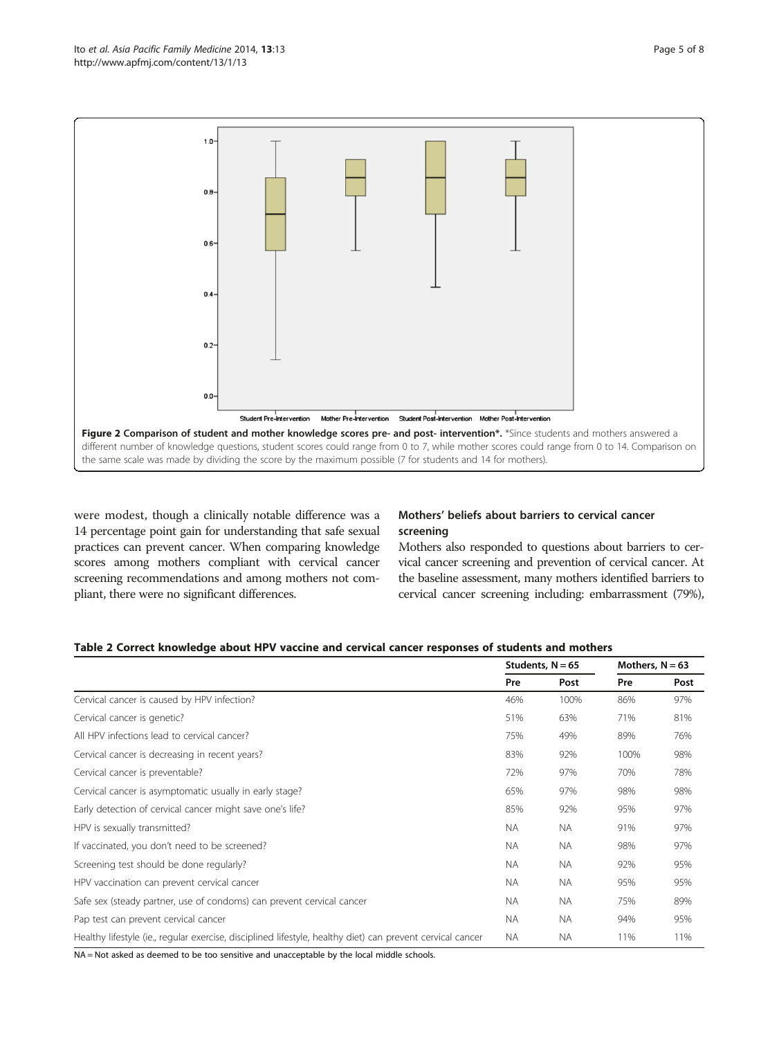<span id="page-4-0"></span>

were modest, though a clinically notable difference was a 14 percentage point gain for understanding that safe sexual practices can prevent cancer. When comparing knowledge scores among mothers compliant with cervical cancer screening recommendations and among mothers not compliant, there were no significant differences.

# Mothers' beliefs about barriers to cervical cancer screening

Mothers also responded to questions about barriers to cervical cancer screening and prevention of cervical cancer. At the baseline assessment, many mothers identified barriers to cervical cancer screening including: embarrassment (79%),

|  | Table 2 Correct knowledge about HPV vaccine and cervical cancer responses of students and mothers |
|--|---------------------------------------------------------------------------------------------------|
|--|---------------------------------------------------------------------------------------------------|

|                                                                                                            | Students, $N = 65$ |           | Mothers, $N = 63$ |      |
|------------------------------------------------------------------------------------------------------------|--------------------|-----------|-------------------|------|
|                                                                                                            | Pre                | Post      | Pre               | Post |
| Cervical cancer is caused by HPV infection?                                                                |                    | 100%      | 86%               | 97%  |
| Cervical cancer is genetic?                                                                                | 51%                | 63%       | 71%               | 81%  |
| All HPV infections lead to cervical cancer?                                                                |                    | 49%       | 89%               | 76%  |
| Cervical cancer is decreasing in recent years?                                                             |                    | 92%       | 100%              | 98%  |
| Cervical cancer is preventable?                                                                            |                    | 97%       | 70%               | 78%  |
| Cervical cancer is asymptomatic usually in early stage?                                                    | 65%                | 97%       | 98%               | 98%  |
| Early detection of cervical cancer might save one's life?                                                  | 85%                | 92%       | 95%               | 97%  |
| HPV is sexually transmitted?                                                                               | <b>NA</b>          | <b>NA</b> | 91%               | 97%  |
| If vaccinated, you don't need to be screened?                                                              |                    | NA.       | 98%               | 97%  |
| Screening test should be done regularly?                                                                   |                    | NA.       | 92%               | 95%  |
| HPV vaccination can prevent cervical cancer                                                                |                    | <b>NA</b> | 95%               | 95%  |
| Safe sex (steady partner, use of condoms) can prevent cervical cancer                                      |                    | NA.       | 75%               | 89%  |
| Pap test can prevent cervical cancer                                                                       |                    | <b>NA</b> | 94%               | 95%  |
| Healthy lifestyle (ie., regular exercise, disciplined lifestyle, healthy diet) can prevent cervical cancer |                    | <b>NA</b> | 11%               | 11%  |
|                                                                                                            |                    |           |                   |      |

NA = Not asked as deemed to be too sensitive and unacceptable by the local middle schools.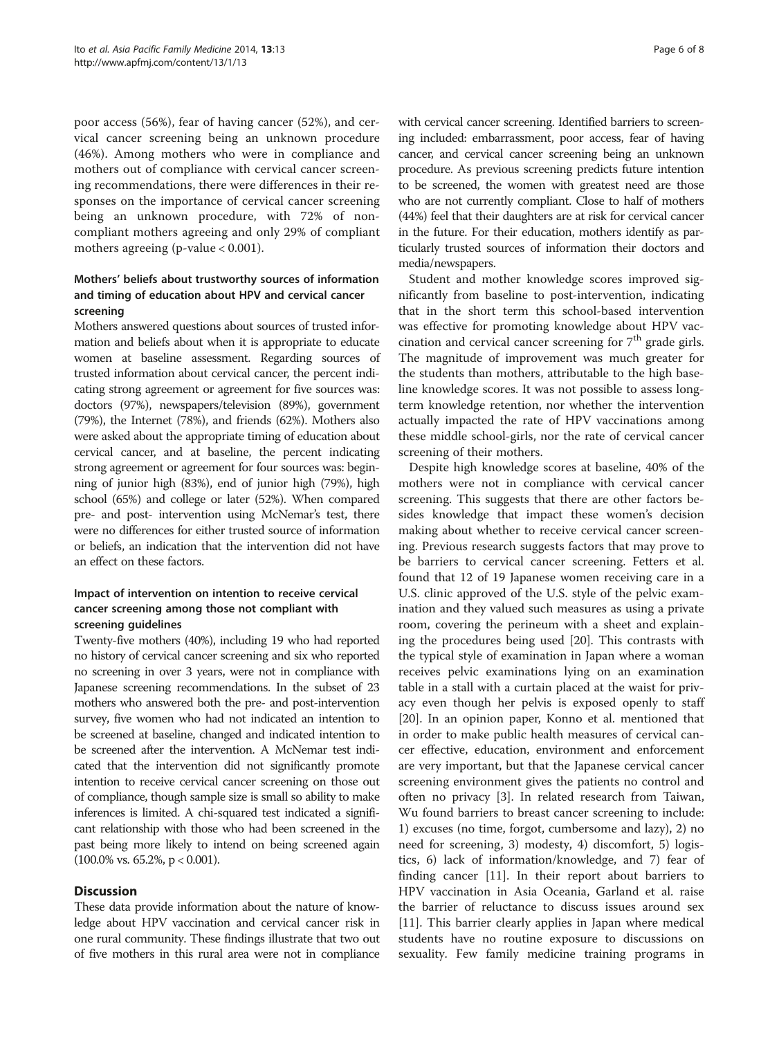poor access (56%), fear of having cancer (52%), and cervical cancer screening being an unknown procedure (46%). Among mothers who were in compliance and mothers out of compliance with cervical cancer screening recommendations, there were differences in their responses on the importance of cervical cancer screening being an unknown procedure, with 72% of noncompliant mothers agreeing and only 29% of compliant mothers agreeing (p-value  $< 0.001$ ).

# Mothers' beliefs about trustworthy sources of information and timing of education about HPV and cervical cancer screening

Mothers answered questions about sources of trusted information and beliefs about when it is appropriate to educate women at baseline assessment. Regarding sources of trusted information about cervical cancer, the percent indicating strong agreement or agreement for five sources was: doctors (97%), newspapers/television (89%), government (79%), the Internet (78%), and friends (62%). Mothers also were asked about the appropriate timing of education about cervical cancer, and at baseline, the percent indicating strong agreement or agreement for four sources was: beginning of junior high (83%), end of junior high (79%), high school (65%) and college or later (52%). When compared pre- and post- intervention using McNemar's test, there were no differences for either trusted source of information or beliefs, an indication that the intervention did not have an effect on these factors.

# Impact of intervention on intention to receive cervical cancer screening among those not compliant with screening guidelines

Twenty-five mothers (40%), including 19 who had reported no history of cervical cancer screening and six who reported no screening in over 3 years, were not in compliance with Japanese screening recommendations. In the subset of 23 mothers who answered both the pre- and post-intervention survey, five women who had not indicated an intention to be screened at baseline, changed and indicated intention to be screened after the intervention. A McNemar test indicated that the intervention did not significantly promote intention to receive cervical cancer screening on those out of compliance, though sample size is small so ability to make inferences is limited. A chi-squared test indicated a significant relationship with those who had been screened in the past being more likely to intend on being screened again  $(100.0\% \text{ vs. } 65.2\%, \text{ p} < 0.001).$ 

## **Discussion**

These data provide information about the nature of knowledge about HPV vaccination and cervical cancer risk in one rural community. These findings illustrate that two out of five mothers in this rural area were not in compliance

with cervical cancer screening. Identified barriers to screening included: embarrassment, poor access, fear of having cancer, and cervical cancer screening being an unknown procedure. As previous screening predicts future intention to be screened, the women with greatest need are those who are not currently compliant. Close to half of mothers (44%) feel that their daughters are at risk for cervical cancer in the future. For their education, mothers identify as particularly trusted sources of information their doctors and media/newspapers.

Student and mother knowledge scores improved significantly from baseline to post-intervention, indicating that in the short term this school-based intervention was effective for promoting knowledge about HPV vaccination and cervical cancer screening for  $7<sup>th</sup>$  grade girls. The magnitude of improvement was much greater for the students than mothers, attributable to the high baseline knowledge scores. It was not possible to assess longterm knowledge retention, nor whether the intervention actually impacted the rate of HPV vaccinations among these middle school-girls, nor the rate of cervical cancer screening of their mothers.

Despite high knowledge scores at baseline, 40% of the mothers were not in compliance with cervical cancer screening. This suggests that there are other factors besides knowledge that impact these women's decision making about whether to receive cervical cancer screening. Previous research suggests factors that may prove to be barriers to cervical cancer screening. Fetters et al. found that 12 of 19 Japanese women receiving care in a U.S. clinic approved of the U.S. style of the pelvic examination and they valued such measures as using a private room, covering the perineum with a sheet and explaining the procedures being used [[20\]](#page-7-0). This contrasts with the typical style of examination in Japan where a woman receives pelvic examinations lying on an examination table in a stall with a curtain placed at the waist for privacy even though her pelvis is exposed openly to staff [[20\]](#page-7-0). In an opinion paper, Konno et al. mentioned that in order to make public health measures of cervical cancer effective, education, environment and enforcement are very important, but that the Japanese cervical cancer screening environment gives the patients no control and often no privacy [[3\]](#page-6-0). In related research from Taiwan, Wu found barriers to breast cancer screening to include: 1) excuses (no time, forgot, cumbersome and lazy), 2) no need for screening, 3) modesty, 4) discomfort, 5) logistics, 6) lack of information/knowledge, and 7) fear of finding cancer [\[11](#page-6-0)]. In their report about barriers to HPV vaccination in Asia Oceania, Garland et al. raise the barrier of reluctance to discuss issues around sex [[11\]](#page-6-0). This barrier clearly applies in Japan where medical students have no routine exposure to discussions on sexuality. Few family medicine training programs in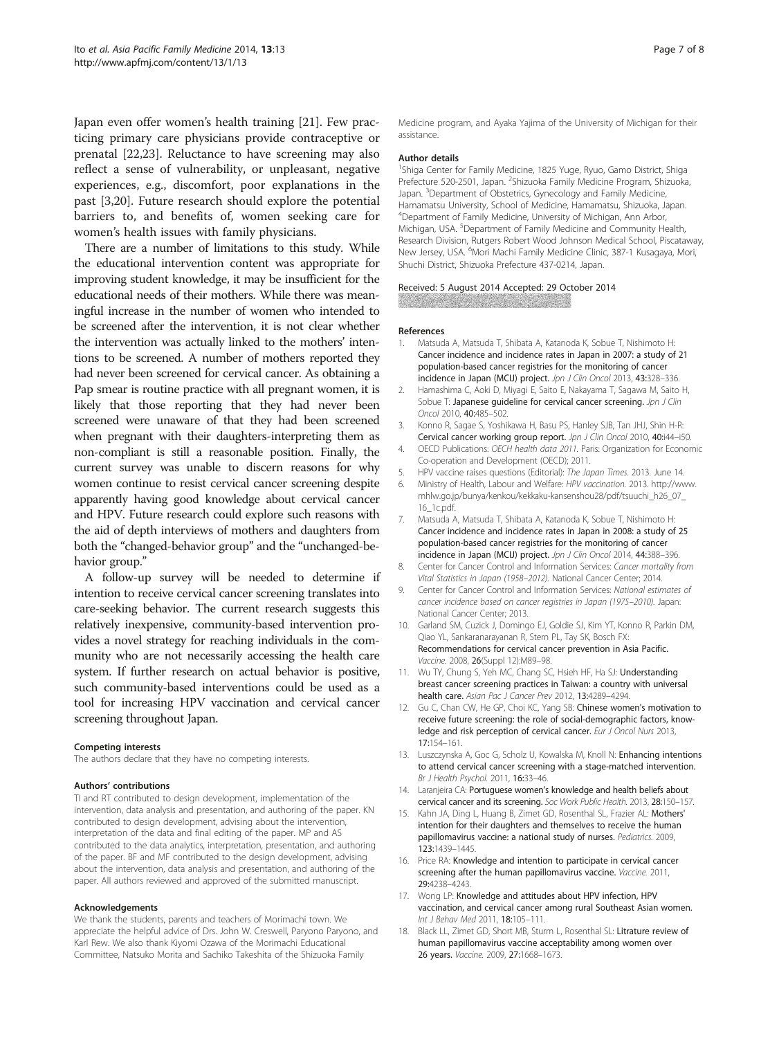<span id="page-6-0"></span>Japan even offer women's health training [\[21](#page-7-0)]. Few practicing primary care physicians provide contraceptive or prenatal [\[22,23\]](#page-7-0). Reluctance to have screening may also reflect a sense of vulnerability, or unpleasant, negative experiences, e.g., discomfort, poor explanations in the past [3[,20\]](#page-7-0). Future research should explore the potential barriers to, and benefits of, women seeking care for women's health issues with family physicians.

There are a number of limitations to this study. While the educational intervention content was appropriate for improving student knowledge, it may be insufficient for the educational needs of their mothers. While there was meaningful increase in the number of women who intended to be screened after the intervention, it is not clear whether the intervention was actually linked to the mothers' intentions to be screened. A number of mothers reported they had never been screened for cervical cancer. As obtaining a Pap smear is routine practice with all pregnant women, it is likely that those reporting that they had never been screened were unaware of that they had been screened when pregnant with their daughters-interpreting them as non-compliant is still a reasonable position. Finally, the current survey was unable to discern reasons for why women continue to resist cervical cancer screening despite apparently having good knowledge about cervical cancer and HPV. Future research could explore such reasons with the aid of depth interviews of mothers and daughters from both the "changed-behavior group" and the "unchanged-behavior group."

A follow-up survey will be needed to determine if intention to receive cervical cancer screening translates into care-seeking behavior. The current research suggests this relatively inexpensive, community-based intervention provides a novel strategy for reaching individuals in the community who are not necessarily accessing the health care system. If further research on actual behavior is positive, such community-based interventions could be used as a tool for increasing HPV vaccination and cervical cancer screening throughout Japan.

#### Competing interests

The authors declare that they have no competing interests.

#### Authors' contributions

TI and RT contributed to design development, implementation of the intervention, data analysis and presentation, and authoring of the paper. KN contributed to design development, advising about the intervention, interpretation of the data and final editing of the paper. MP and AS contributed to the data analytics, interpretation, presentation, and authoring of the paper. BF and MF contributed to the design development, advising about the intervention, data analysis and presentation, and authoring of the paper. All authors reviewed and approved of the submitted manuscript.

#### Acknowledgements

We thank the students, parents and teachers of Morimachi town. We appreciate the helpful advice of Drs. John W. Creswell, Paryono Paryono, and Karl Rew. We also thank Kiyomi Ozawa of the Morimachi Educational Committee, Natsuko Morita and Sachiko Takeshita of the Shizuoka Family

Medicine program, and Ayaka Yajima of the University of Michigan for their assistance.

#### Author details

<sup>1</sup>Shiga Center for Family Medicine, 1825 Yuge, Ryuo, Gamo District, Shiga Prefecture 520-2501, Japan. <sup>2</sup>Shizuoka Family Medicine Program, Shizuoka Japan. <sup>3</sup> Department of Obstetrics, Gynecology and Family Medicine Hamamatsu University, School of Medicine, Hamamatsu, Shizuoka, Japan. 4 Department of Family Medicine, University of Michigan, Ann Arbor, Michigan, USA.<sup>5</sup> Department of Family Medicine and Community Health Research Division, Rutgers Robert Wood Johnson Medical School, Piscataway, New Jersey, USA. <sup>6</sup>Mori Machi Family Medicine Clinic, 387-1 Kusagaya, Mori, Shuchi District, Shizuoka Prefecture 437-0214, Japan.

Received: 5 August 2014 Accepted: 29 October 2014 **WARD AND REAL PROPERTY** 

#### References

- 1. Matsuda A, Matsuda T, Shibata A, Katanoda K, Sobue T, Nishimoto H: Cancer incidence and incidence rates in Japan in 2007: a study of 21 population-based cancer registries for the monitoring of cancer incidence in Japan (MCIJ) project. Jpn J Clin Oncol 2013, 43:328-336.
- 2. Hamashima C, Aoki D, Miyagi E, Saito E, Nakayama T, Sagawa M, Saito H, Sobue T: Japanese quideline for cervical cancer screening. Jpn J Clin Oncol 2010, 40:485–502.
- 3. Konno R, Sagae S, Yoshikawa H, Basu PS, Hanley SJB, Tan JHJ, Shin H-R: Cervical cancer working group report. Jpn J Clin Oncol 2010, 40:i44-i50.
- 4. OECD Publications: OECH health data 2011. Paris: Organization for Economic Co-operation and Development (OECD); 2011.
- 5. HPV vaccine raises questions (Editorial): The Japan Times. 2013. June 14.
- 6. Ministry of Health, Labour and Welfare: HPV vaccination. 2013. [http://www.](http://www.mhlw.go.jp/bunya/kenkou/kekkaku-kansenshou28/pdf/tsuuchi_h26_07_16_1c.pdf) [mhlw.go.jp/bunya/kenkou/kekkaku-kansenshou28/pdf/tsuuchi\\_h26\\_07\\_](http://www.mhlw.go.jp/bunya/kenkou/kekkaku-kansenshou28/pdf/tsuuchi_h26_07_16_1c.pdf) [16\\_1c.pdf](http://www.mhlw.go.jp/bunya/kenkou/kekkaku-kansenshou28/pdf/tsuuchi_h26_07_16_1c.pdf).
- 7. Matsuda A, Matsuda T, Shibata A, Katanoda K, Sobue T, Nishimoto H: Cancer incidence and incidence rates in Japan in 2008: a study of 25 population-based cancer registries for the monitoring of cancer incidence in Japan (MCIJ) project. Jpn J Clin Oncol 2014, 44:388-396.
- 8. Center for Cancer Control and Information Services: Cancer mortality from Vital Statistics in Japan (1958–2012). National Cancer Center; 2014.
- 9. Center for Cancer Control and Information Services: National estimates of cancer incidence based on cancer registries in Japan (1975–2010). Japan: National Cancer Center; 2013.
- 10. Garland SM, Cuzick J, Domingo EJ, Goldie SJ, Kim YT, Konno R, Parkin DM, Qiao YL, Sankaranarayanan R, Stern PL, Tay SK, Bosch FX: Recommendations for cervical cancer prevention in Asia Pacific. Vaccine. 2008, 26(Suppl 12):M89–98.
- 11. Wu TY, Chung S, Yeh MC, Chang SC, Hsieh HF, Ha SJ: Understanding breast cancer screening practices in Taiwan: a country with universal health care. Asian Pac J Cancer Prev 2012, 13:4289–4294.
- 12. Gu C, Chan CW, He GP, Choi KC, Yang SB: Chinese women's motivation to receive future screening: the role of social-demographic factors, knowledge and risk perception of cervical cancer. Eur J Oncol Nurs 2013, 17:154–161.
- 13. Luszczynska A, Goc G, Scholz U, Kowalska M, Knoll N: Enhancing intentions to attend cervical cancer screening with a stage-matched intervention. Br J Health Psychol. 2011, 16:33–46.
- 14. Laranjeira CA: Portuguese women's knowledge and health beliefs about cervical cancer and its screening. Soc Work Public Health. 2013, 28:150–157.
- 15. Kahn JA, Ding L, Huang B, Zimet GD, Rosenthal SL, Frazier AL: Mothers' intention for their daughters and themselves to receive the human papillomavirus vaccine: a national study of nurses. Pediatrics. 2009, 123:1439–1445.
- 16. Price RA: Knowledge and intention to participate in cervical cancer screening after the human papillomavirus vaccine. Vaccine. 2011, 29:4238–4243.
- 17. Wong LP: Knowledge and attitudes about HPV infection, HPV vaccination, and cervical cancer among rural Southeast Asian women. Int J Behav Med 2011, 18:105-111.
- 18. Black LL, Zimet GD, Short MB, Sturm L, Rosenthal SL: Litrature review of human papillomavirus vaccine acceptability among women over 26 years. Vaccine. 2009, 27:1668–1673.